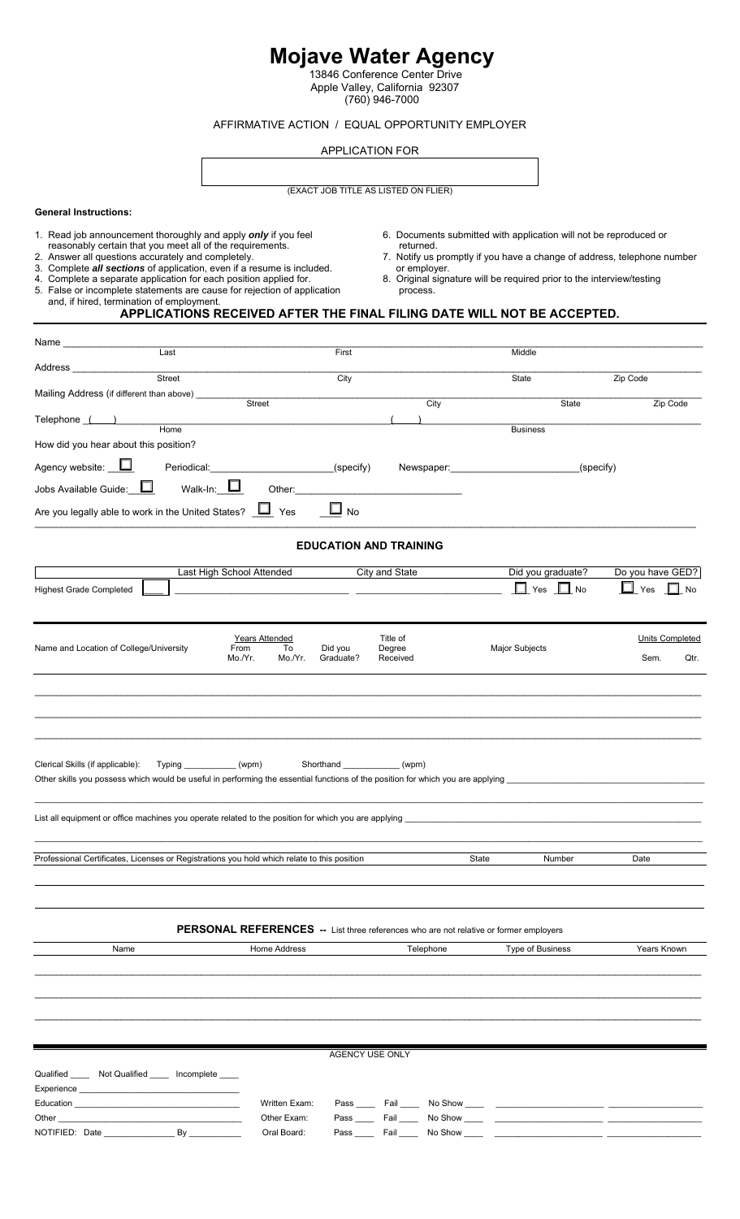# **Mojave Water Agency**

 13846 Conference Center Drive Apple Valley, California 92307 (760) 946-7000

#### AFFIRMATIVE ACTION / EQUAL OPPORTUNITY EMPLOYER

APPLICATION FOR

# (EXACT JOB TITLE AS LISTED ON FLIER)

#### **General Instructions:**

- 
- reasonably certain that you meet all of the requirements.<br>2. Answer all questions accurately and completely.
- 
- 3. Complete *all sections* of application, even if a resume is included.<br>4. Complete a separate application for each position applied for.
- 5. False or incomplete statements are cause for rejection of application process. and, if hired, termination of employment.
- 1. Read job announcement thoroughly and apply *only* if you feel 6. Documents submitted with application will not be reproduced or
- 2. Answer all questions accurately and completely.<br>
2. Answer all questions accurately and completely.<br>
2. Answer all questions accurately and completely.<br>
2. Complete **all sections** of application, even if a resume is inc
- 4. Complete a separate application for each position applied for. 8. Original signature will be required prior to the interview/testing

## **APPLICATIONS RECEIVED AFTER THE FINAL FILING DATE WILL NOT BE ACCEPTED.**

| Name_                                                                                                                                                               |                           |                                                    |                               |                                |                                       |                                                                                                                  |                                 |
|---------------------------------------------------------------------------------------------------------------------------------------------------------------------|---------------------------|----------------------------------------------------|-------------------------------|--------------------------------|---------------------------------------|------------------------------------------------------------------------------------------------------------------|---------------------------------|
| Address _                                                                                                                                                           | Last                      |                                                    | First                         |                                |                                       | Middle                                                                                                           |                                 |
|                                                                                                                                                                     | Street                    |                                                    | City                          |                                |                                       | State                                                                                                            | Zip Code                        |
| Mailing Address (if different than above) _____                                                                                                                     |                           | Street                                             |                               |                                | City                                  | State                                                                                                            | Zip Code                        |
| Telephone ()                                                                                                                                                        |                           |                                                    |                               |                                |                                       |                                                                                                                  |                                 |
| How did you hear about this position?                                                                                                                               | Home                      |                                                    |                               |                                |                                       | <b>Business</b>                                                                                                  |                                 |
| Agency website: <u>U</u> Periodical: (specify)                                                                                                                      |                           |                                                    |                               |                                |                                       |                                                                                                                  | (specify)                       |
| Jobs Available Guide: $\Box$                                                                                                                                        | Walk-In: $\square$        | Other:                                             |                               |                                |                                       |                                                                                                                  |                                 |
| Are you legally able to work in the United States? $\Box$ Yes                                                                                                       |                           |                                                    | Ш<br><b>No</b>                |                                |                                       |                                                                                                                  |                                 |
|                                                                                                                                                                     |                           |                                                    | <b>EDUCATION AND TRAINING</b> |                                |                                       |                                                                                                                  |                                 |
|                                                                                                                                                                     | Last High School Attended |                                                    |                               | City and State                 |                                       | Did you graduate?                                                                                                | Do you have GED?                |
| <b>Highest Grade Completed</b>                                                                                                                                      |                           |                                                    |                               |                                |                                       | $\Box$ Yes $\Box$ No                                                                                             | $\Box$ Yes $\Box$ No            |
| Name and Location of College/University                                                                                                                             |                           | Years Attended<br>From<br>To<br>Mo./Yr.<br>Mo./Yr. | Did you<br>Graduate?          | Title of<br>Degree<br>Received |                                       | <b>Major Subjects</b>                                                                                            | Units Completed<br>Sem.<br>Qtr. |
| Clerical Skills (if applicable):<br>Other skills you possess which would be useful in performing the essential functions of the position for which you are applying | Typing ____________(wpm)  |                                                    |                               | (wpm)                          |                                       |                                                                                                                  |                                 |
|                                                                                                                                                                     |                           |                                                    |                               |                                |                                       |                                                                                                                  |                                 |
| Professional Certificates, Licenses or Registrations you hold which relate to this position                                                                         |                           |                                                    |                               |                                | State                                 | Number                                                                                                           | Date                            |
| Name                                                                                                                                                                |                           | Home Address                                       |                               |                                | Telephone                             | PERSONAL REFERENCES -- List three references who are not relative or former employers<br><b>Type of Business</b> | Years Known                     |
|                                                                                                                                                                     |                           |                                                    |                               |                                |                                       |                                                                                                                  |                                 |
|                                                                                                                                                                     |                           |                                                    | AGENCY USE ONLY               |                                |                                       |                                                                                                                  |                                 |
| Qualified ______ Not Qualified _____ Incomplete ____<br>Experience <b>Experience</b><br>Education <b>Executive Education</b>                                        |                           | Written Exam:                                      |                               |                                |                                       |                                                                                                                  |                                 |
| Other                                                                                                                                                               |                           | Other Exam:                                        |                               |                                |                                       |                                                                                                                  |                                 |
| NOTIFIED: Date                                                                                                                                                      | $By$ <sub>_</sub>         | Oral Board:                                        |                               |                                | Pass ______ Fail ______ No Show _____ |                                                                                                                  |                                 |